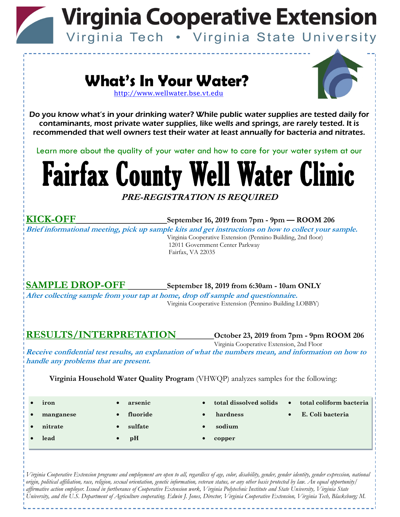

### **What's In Your Water?** [http://www.wellwater.bse.vt.edu](https://www.wellwater.bse.vt.edu/)



Do you know what's in your drinking water? While public water supplies are tested daily for contaminants, most private water supplies, like wells and springs, are rarely tested. It is recommended that well owners test their water at least annually for bacteria and nitrates.

Learn more about the quality of your water and how to care for your water system at our

# Fairfax County Well Water Clinic **PRE-REGISTRATION IS REQUIRED**

**KICK-OFF September 16, 2019 from 7pm - 9pm — ROOM 206**

**Brief informational meeting, pick up sample kits and get instructions on how to collect your sample.**  Virginia Cooperative Extension (Pennino Building, 2nd floor)

12011 Government Center Parkway Fairfax, VA 22035

**SAMPLE DROP-OFF September 18, 2019 from 6:30am - 10am ONLY**

**total dissolved solids**

**After collecting sample from your tap at home, drop off sample and questionnaire.**  Virginia Cooperative Extension (Pennino Building LOBBY)

**RESULTS/INTERPRETATION October 23, 2019 from 7pm - 9pm ROOM 206**

Virginia Cooperative Extension, 2nd Floor

**Receive confidential test results, an explanation of what the numbers mean, and information on how to handle any problems that are present.**

**Virginia Household Water Quality Program** (VHWQP) analyzes samples for the following:

- **iron**
- **manganese**
- **arsenic**
- **nitrate**
- **fluoride**
- **sulfate**

**lead**

**pH**

- **hardness sodium copper**
- **total coliform bacteria**
- **E. Coli bacteria**
- 
- 
- 

*Virginia Cooperative Extension programs and employment are open to all, regardless of age, color, disability, gender, gender identity, gender expression, national origin, political affiliation, race, religion, sexual orientation, genetic information, veteran status, or any other basis protected by law. An equal opportunity/ affirmative action employer. Issued in furtherance of Cooperative Extension work, Virginia Polytechnic Institute and State University, Virginia State University, and the U.S. Department of Agriculture cooperating. Edwin J. Jones, Director, Virginia Cooperative Extension, Virginia Tech, Blacksburg; M.*